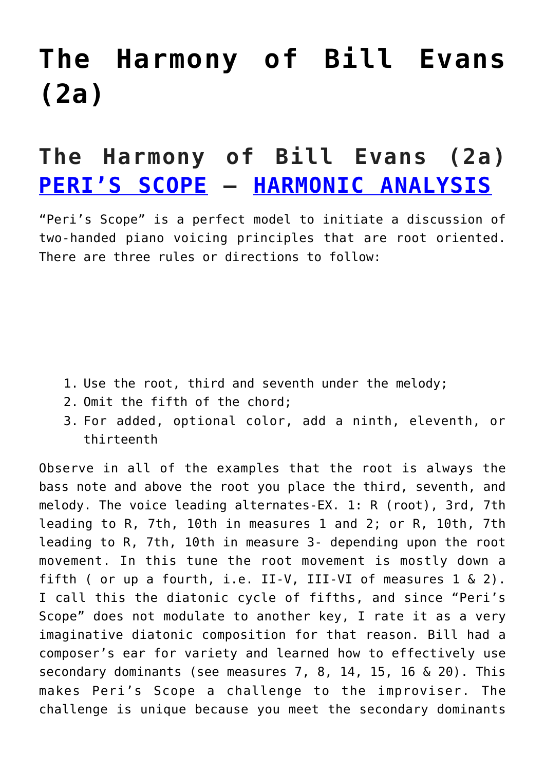## **[The Harmony of Bill Evans](https://sheetmusiclibrary.website/2022/01/25/the-harmony-of-bill-evans-2/) [\(2a\)](https://sheetmusiclibrary.website/2022/01/25/the-harmony-of-bill-evans-2/)**

## **The Harmony of Bill Evans (2a) [PERI'S SCOPE](https://www.youtube.com/watch?v=bCGsXx6WF6I) – [HARMONIC ANALYSIS](https://sheetmusiclibrary.website/)**

"Peri's Scope" is a perfect model to initiate a discussion of two-handed piano voicing principles that are root oriented. There are three rules or directions to follow:

- 1. Use the root, third and seventh under the melody;
- 2. Omit the fifth of the chord;
- 3. For added, optional color, add a ninth, eleventh, or thirteenth

Observe in all of the examples that the root is always the bass note and above the root you place the third, seventh, and melody. The voice leading alternates-EX. 1: R (root), 3rd, 7th leading to R, 7th, 10th in measures 1 and 2; or R, 10th, 7th leading to R, 7th, 10th in measure 3- depending upon the root movement. In this tune the root movement is mostly down a fifth ( or up a fourth, i.e. II-V, III-VI of measures  $1 \& 2$ ). I call this the diatonic cycle of fifths, and since "Peri's Scope" does not modulate to another key, I rate it as a very imaginative diatonic composition for that reason. Bill had a composer's ear for variety and learned how to effectively use secondary dominants (see measures 7, 8, 14, 15, 16 & 20). This makes Peri's Scope a challenge to the improviser. The challenge is unique because you meet the secondary dominants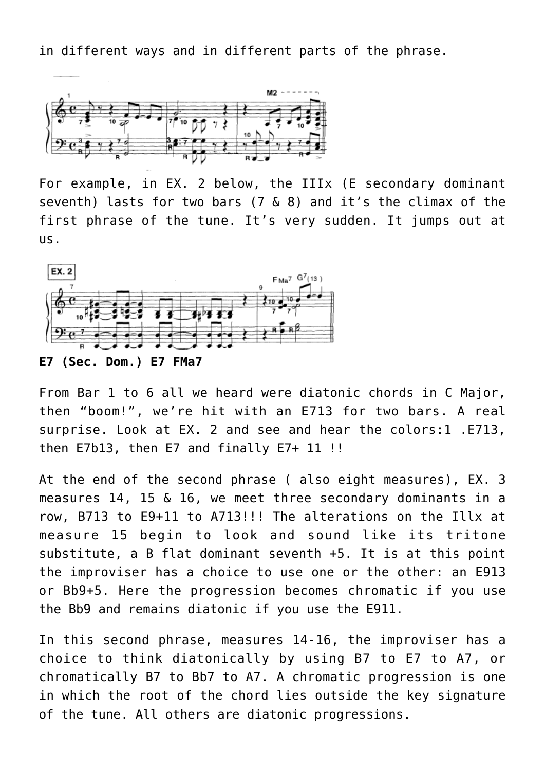in different ways and in different parts of the phrase.



For example, in EX. 2 below, the IIIx (E secondary dominant seventh) lasts for two bars (7 & 8) and it's the climax of the first phrase of the tune. It's very sudden. It jumps out at us.



**E7 (Sec. Dom.) E7 FMa7**

From Bar 1 to 6 all we heard were diatonic chords in C Major, then "boom!", we're hit with an E713 for two bars. A real surprise. Look at EX. 2 and see and hear the colors:1 .E713, then E7b13, then E7 and finally E7+ 11 !!

At the end of the second phrase ( also eight measures), EX. 3 measures 14, 15 & 16, we meet three secondary dominants in a row, B713 to E9+11 to A713!!! The alterations on the Illx at measure 15 begin to look and sound like its tritone substitute, a B flat dominant seventh +5. It is at this point the improviser has a choice to use one or the other: an E913 or Bb9+5. Here the progression becomes chromatic if you use the Bb9 and remains diatonic if you use the E911.

In this second phrase, measures 14-16, the improviser has a choice to think diatonically by using B7 to E7 to A7, or chromatically B7 to Bb7 to A7. A chromatic progression is one in which the root of the chord lies outside the key signature of the tune. All others are diatonic progressions.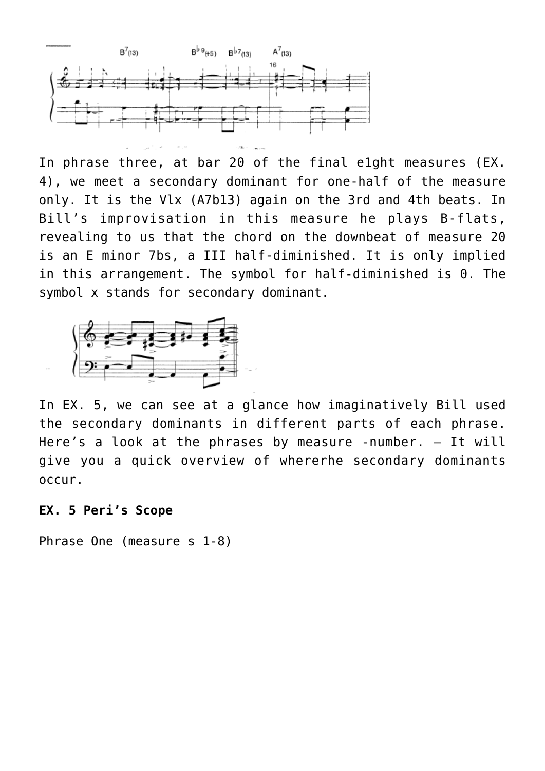

In phrase three, at bar 20 of the final e1ght measures (EX. 4), we meet a secondary dominant for one-half of the measure only. It is the Vlx (A7b13) again on the 3rd and 4th beats. In Bill's improvisation in this measure he plays B-flats, revealing to us that the chord on the downbeat of measure 20 is an E minor 7bs, a III half-diminished. It is only implied in this arrangement. The symbol for half-diminished is 0. The symbol x stands for secondary dominant.



In EX. 5, we can see at a glance how imaginatively Bill used the secondary dominants in different parts of each phrase. Here's a look at the phrases by measure -number. – It will give you a quick overview of whererhe secondary dominants occur.

## **EX. 5 Peri's Scope**

Phrase One (measure s 1-8)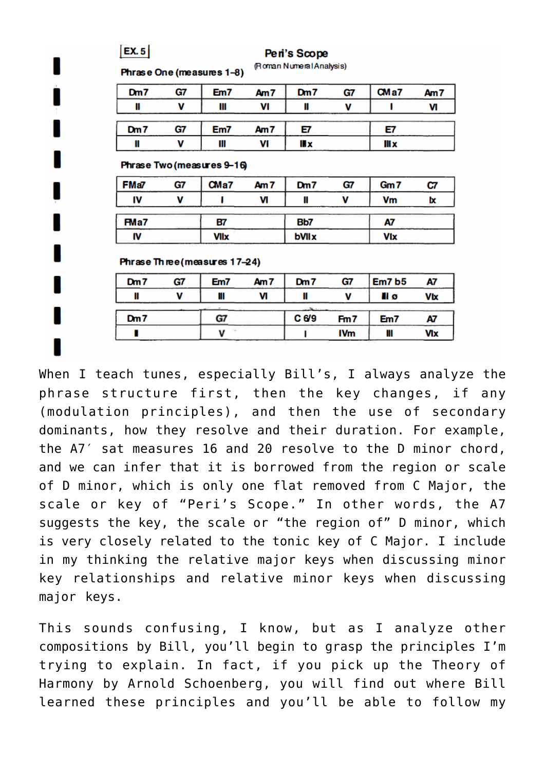| EX.5 |    | Peri's Scope<br>(Roman Numeral Analysis) |                 |       |            |        |
|------|----|------------------------------------------|-----------------|-------|------------|--------|
|      |    | Phrase One (measures 1-8)                |                 |       |            |        |
| Dm7  | G7 | Em7                                      | Am <sub>7</sub> | Dm7   | G7         | CMa7   |
| Ш    | v  | Ш                                        | VI              | Ш     | v          | 1      |
| Dm7  | G7 | Em7                                      | Am <sub>7</sub> | Е7    |            | E7     |
| Ш    | v  | Ш                                        | VI              | III x |            | III x  |
| FMa7 | G7 | $C$ Ma $7$                               | Am <sub>7</sub> | Dm7   | G7         | Gm7    |
|      |    | Phrase Two (measures 9-16)               |                 |       |            |        |
| IV   | v  | ı                                        | VI              | Ш     | V          | Vm     |
| FMa7 |    | 87                                       |                 | Bb7   |            | A7     |
| IV   |    | <b>VIIx</b>                              |                 | bVIIX |            | Vlx    |
|      |    | Phrase Three (measures 17–24)            |                 |       |            |        |
| Dm7  | G7 | Em7                                      | Am <sub>7</sub> | Dm7   | G7         | Em7 b5 |
| Ш    | v  | Ш                                        | VI              | Ш     | v          | II ø   |
| Dm7  |    | G7                                       |                 | C 6/9 | Fm7        | Em7    |
|      |    | - Fall<br>V                              |                 |       | <b>IVm</b> | Ш      |

When I teach tunes, especially Bill's, I always analyze the phrase structure first, then the key changes, if any (modulation principles), and then the use of secondary dominants, how they resolve and their duration. For example, the A7′ sat measures 16 and 20 resolve to the D minor chord, and we can infer that it is borrowed from the region or scale of D minor, which is only one flat removed from C Major, the scale or key of "Peri's Scope." In other words, the A7 suggests the key, the scale or "the region of" D minor, which is very closely related to the tonic key of C Major. I include in my thinking the relative major keys when discussing minor key relationships and relative minor keys when discussing major keys.

This sounds confusing, I know, but as I analyze other compositions by Bill, you'll begin to grasp the principles I'm trying to explain. In fact, if you pick up the Theory of Harmony by Arnold Schoenberg, you will find out where Bill learned these principles and you'll be able to follow my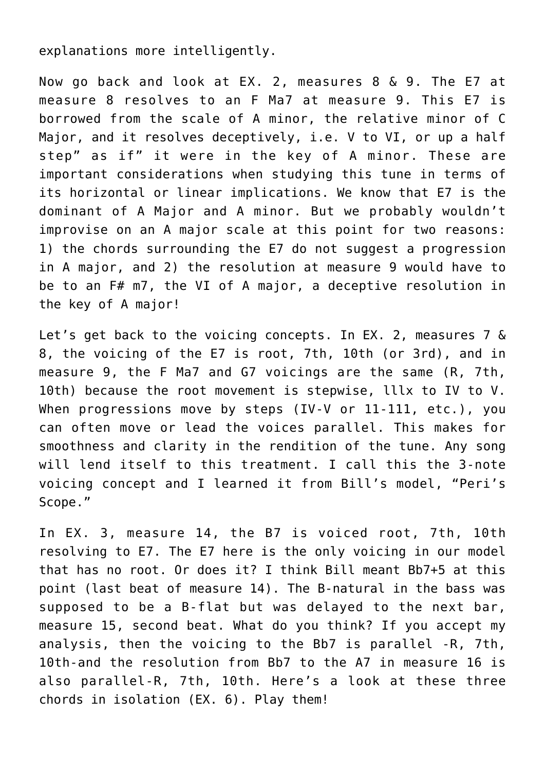explanations more intelligently.

Now go back and look at EX. 2, measures 8 & 9. The E7 at measure 8 resolves to an F Ma7 at measure 9. This E7 is borrowed from the scale of A minor, the relative minor of C Major, and it resolves deceptively, i.e. V to VI, or up a half step" as if" it were in the key of A minor. These are important considerations when studying this tune in terms of its horizontal or linear implications. We know that E7 is the dominant of A Major and A minor. But we probably wouldn't improvise on an A major scale at this point for two reasons: 1) the chords surrounding the E7 do not suggest a progression in A major, and 2) the resolution at measure 9 would have to be to an F# m7, the VI of A major, a deceptive resolution in the key of A major!

Let's get back to the voicing concepts. In EX. 2, measures 7 & 8, the voicing of the E7 is root, 7th, 10th (or 3rd), and in measure 9, the F Ma7 and G7 voicings are the same (R, 7th, 10th) because the root movement is stepwise, lllx to IV to V. When progressions move by steps (IV-V or 11-111, etc.), you can often move or lead the voices parallel. This makes for smoothness and clarity in the rendition of the tune. Any song will lend itself to this treatment. I call this the 3-note voicing concept and I learned it from Bill's model, "Peri's Scope."

In EX. 3, measure 14, the B7 is voiced root, 7th, 10th resolving to E7. The E7 here is the only voicing in our model that has no root. Or does it? I think Bill meant Bb7+5 at this point (last beat of measure 14). The B-natural in the bass was supposed to be a B-flat but was delayed to the next bar, measure 15, second beat. What do you think? If you accept my analysis, then the voicing to the Bb7 is parallel -R, 7th, 10th-and the resolution from Bb7 to the A7 in measure 16 is also parallel-R, 7th, 10th. Here's a look at these three chords in isolation (EX. 6). Play them!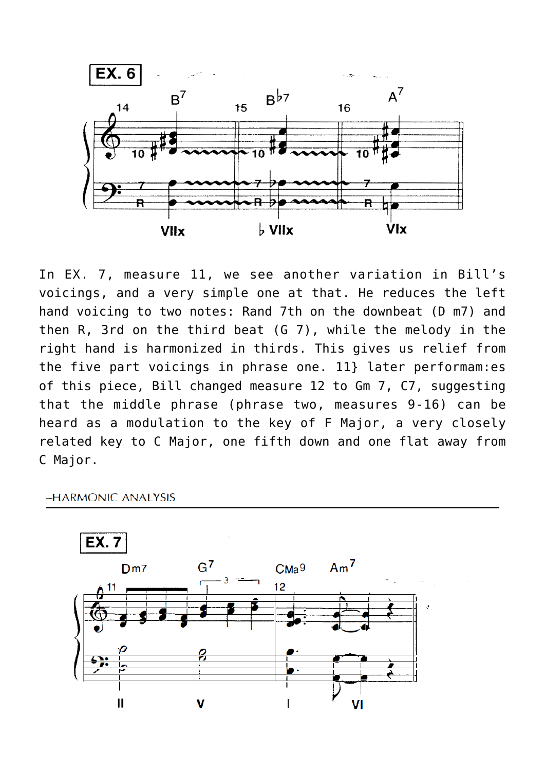

In EX. 7, measure 11, we see another variation in Bill's voicings, and a very simple one at that. He reduces the left hand voicing to two notes: Rand 7th on the downbeat (D m7) and then R, 3rd on the third beat (G 7), while the melody in the right hand is harmonized in thirds. This gives us relief from the five part voicings in phrase one. 11} later performam:es of this piece, Bill changed measure 12 to Gm 7, C7, suggesting that the middle phrase (phrase two, measures 9-16) can be heard as a modulation to the key of F Major, a very closely related key to C Major, one fifth down and one flat away from C Major.

-HARMONIC ANALYSIS

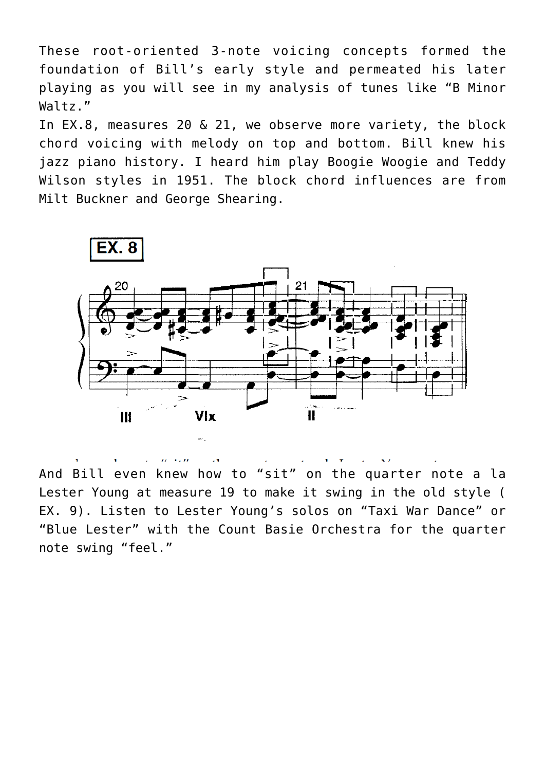These root-oriented 3-note voicing concepts formed the foundation of Bill's early style and permeated his later playing as you will see in my analysis of tunes like "B Minor Waltz."

In EX.8, measures 20 & 21, we observe more variety, the block chord voicing with melody on top and bottom. Bill knew his jazz piano history. I heard him play Boogie Woogie and Teddy Wilson styles in 1951. The block chord influences are from Milt Buckner and George Shearing.



And Bill even knew how to "sit" on the quarter note a la Lester Young at measure 19 to make it swing in the old style ( EX. 9). Listen to Lester Young's solos on "Taxi War Dance" or "Blue Lester" with the Count Basie Orchestra for the quarter note swing "feel."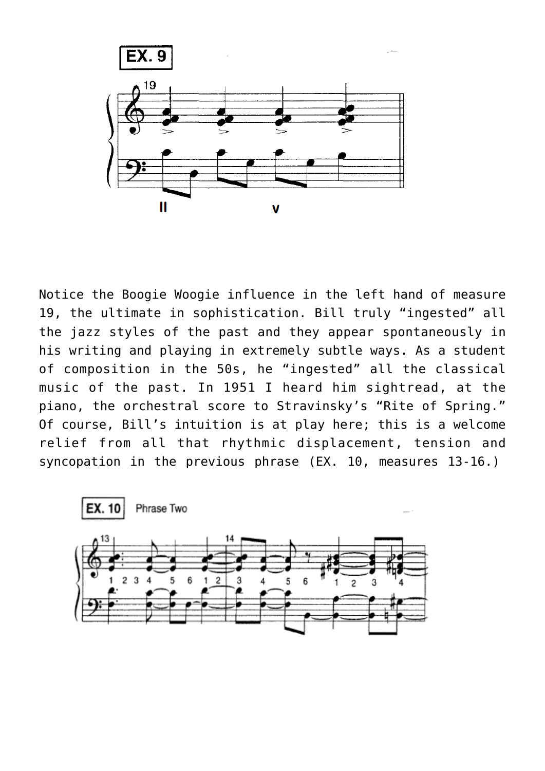

Notice the Boogie Woogie influence in the left hand of measure 19, the ultimate in sophistication. Bill truly "ingested" all the jazz styles of the past and they appear spontaneously in his writing and playing in extremely subtle ways. As a student of composition in the 50s, he "ingested" all the classical music of the past. In 1951 I heard him sightread, at the piano, the orchestral score to Stravinsky's "Rite of Spring." Of course, Bill's intuition is at play here; this is a welcome relief from all that rhythmic displacement, tension and syncopation in the previous phrase (EX. 10, measures 13-16.)

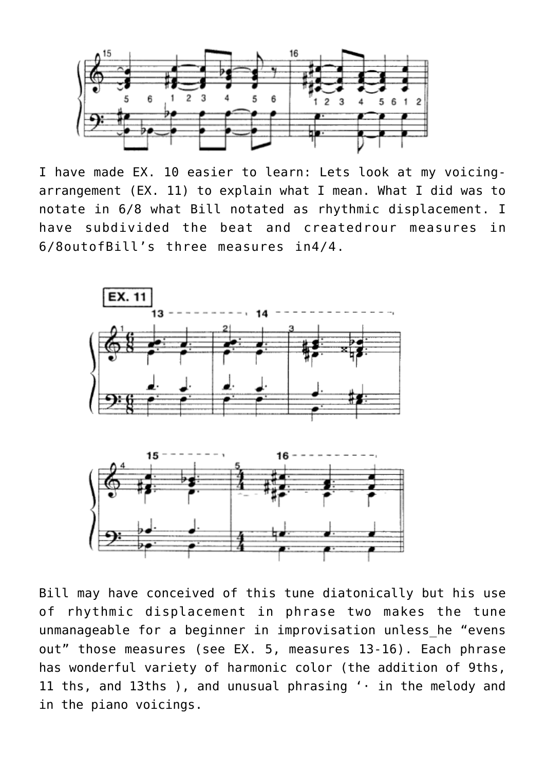

I have made EX. 10 easier to learn: Lets look at my voicingarrangement (EX. 11) to explain what I mean. What I did was to notate in 6/8 what Bill notated as rhythmic displacement. I have subdivided the beat and createdrour measures in 6/8outofBill's three measures in4/4.



Bill may have conceived of this tune diatonically but his use of rhythmic displacement in phrase two makes the tune unmanageable for a beginner in improvisation unless he "evens out" those measures (see EX. 5, measures 13-16). Each phrase has wonderful variety of harmonic color (the addition of 9ths, 11 ths, and 13ths ), and unusual phrasing '· in the melody and in the piano voicings.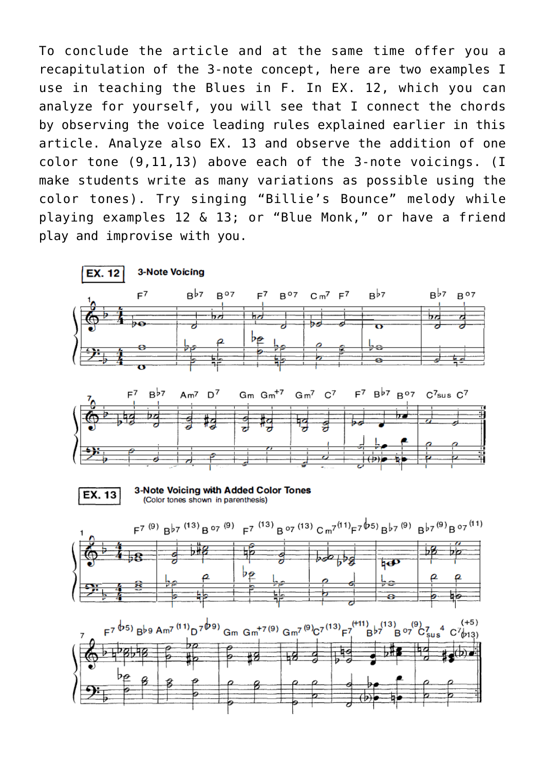To conclude the article and at the same time offer you a recapitulation of the 3-note concept, here are two examples I use in teaching the Blues in F. In EX. 12, which you can analyze for yourself, you will see that I connect the chords by observing the voice leading rules explained earlier in this article. Analyze also EX. 13 and observe the addition of one color tone (9,11,13) above each of the 3-note voicings. (I make students write as many variations as possible using the color tones). Try singing "Billie's Bounce" melody while playing examples 12 & 13; or "Blue Monk," or have a friend play and improvise with you.

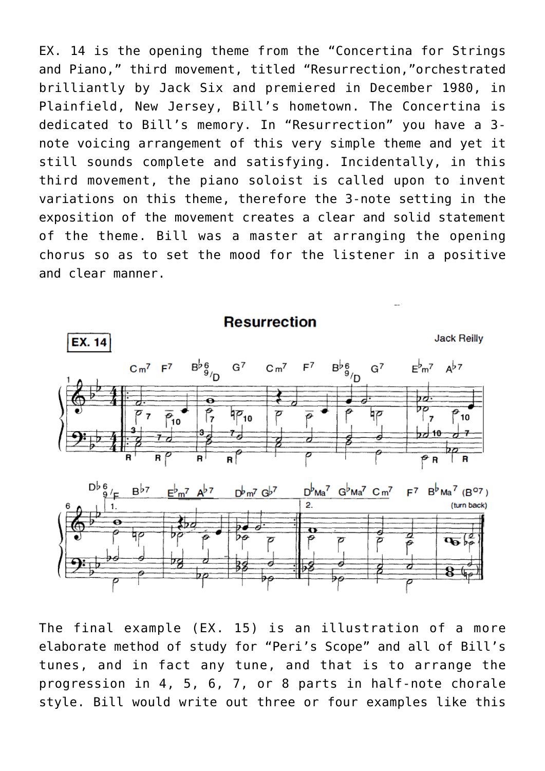EX. 14 is the opening theme from the "Concertina for Strings and Piano," third movement, titled "Resurrection,"orchestrated brilliantly by Jack Six and premiered in December 1980, in Plainfield, New Jersey, Bill's hometown. The Concertina is dedicated to Bill's memory. In "Resurrection" you have a 3 note voicing arrangement of this very simple theme and yet it still sounds complete and satisfying. Incidentally, in this third movement, the piano soloist is called upon to invent variations on this theme, therefore the 3-note setting in the exposition of the movement creates a clear and solid statement of the theme. Bill was a master at arranging the opening chorus so as to set the mood for the listener in a positive and clear manner.



The final example (EX. 15) is an illustration of a more elaborate method of study for "Peri's Scope" and all of Bill's tunes, and in fact any tune, and that is to arrange the progression in 4, 5, 6, 7, or 8 parts in half-note chorale style. Bill would write out three or four examples like this